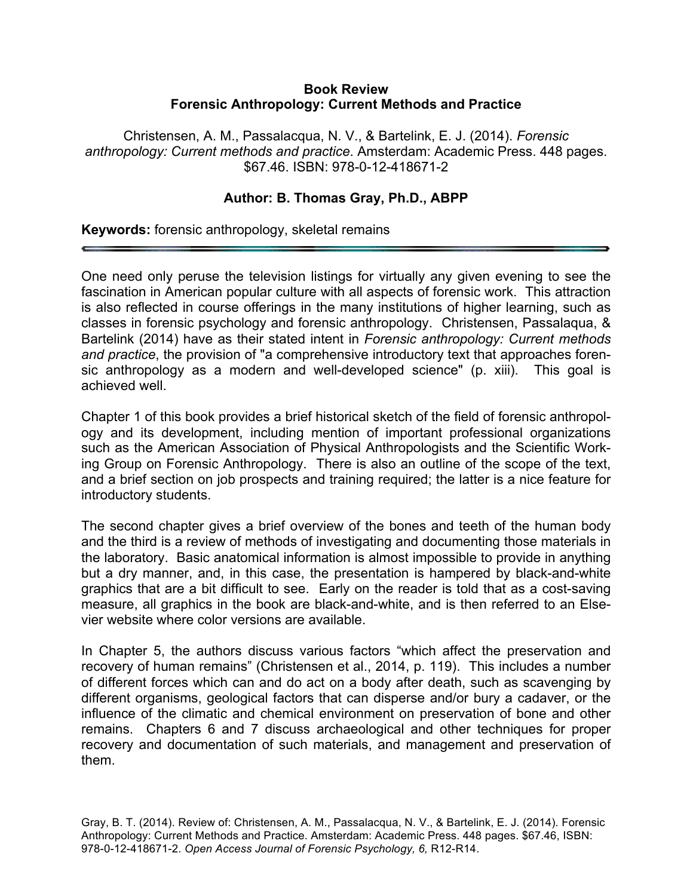## **Book Review Forensic Anthropology: Current Methods and Practice**

Christensen, A. M., Passalacqua, N. V., & Bartelink, E. J. (2014). *Forensic anthropology: Current methods and practice*. Amsterdam: Academic Press. 448 pages. \$67.46. ISBN: 978-0-12-418671-2

## **Author: B. Thomas Gray, Ph.D., ABPP**

**Keywords:** forensic anthropology, skeletal remains

One need only peruse the television listings for virtually any given evening to see the fascination in American popular culture with all aspects of forensic work. This attraction is also reflected in course offerings in the many institutions of higher learning, such as classes in forensic psychology and forensic anthropology. Christensen, Passalaqua, & Bartelink (2014) have as their stated intent in *Forensic anthropology: Current methods and practice*, the provision of "a comprehensive introductory text that approaches forensic anthropology as a modern and well-developed science" (p. xiii). This goal is achieved well.

Chapter 1 of this book provides a brief historical sketch of the field of forensic anthropology and its development, including mention of important professional organizations such as the American Association of Physical Anthropologists and the Scientific Working Group on Forensic Anthropology. There is also an outline of the scope of the text, and a brief section on job prospects and training required; the latter is a nice feature for introductory students.

The second chapter gives a brief overview of the bones and teeth of the human body and the third is a review of methods of investigating and documenting those materials in the laboratory. Basic anatomical information is almost impossible to provide in anything but a dry manner, and, in this case, the presentation is hampered by black-and-white graphics that are a bit difficult to see. Early on the reader is told that as a cost-saving measure, all graphics in the book are black-and-white, and is then referred to an Elsevier website where color versions are available.

In Chapter 5, the authors discuss various factors "which affect the preservation and recovery of human remains" (Christensen et al., 2014, p. 119). This includes a number of different forces which can and do act on a body after death, such as scavenging by different organisms, geological factors that can disperse and/or bury a cadaver, or the influence of the climatic and chemical environment on preservation of bone and other remains. Chapters 6 and 7 discuss archaeological and other techniques for proper recovery and documentation of such materials, and management and preservation of them.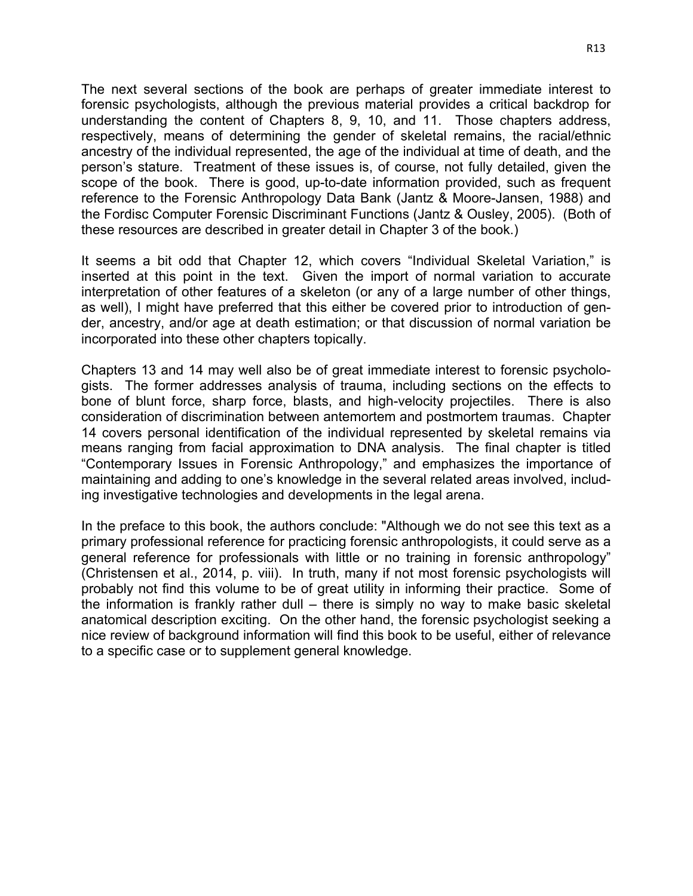The next several sections of the book are perhaps of greater immediate interest to forensic psychologists, although the previous material provides a critical backdrop for understanding the content of Chapters 8, 9, 10, and 11. Those chapters address, respectively, means of determining the gender of skeletal remains, the racial/ethnic ancestry of the individual represented, the age of the individual at time of death, and the person's stature. Treatment of these issues is, of course, not fully detailed, given the scope of the book. There is good, up-to-date information provided, such as frequent reference to the Forensic Anthropology Data Bank (Jantz & Moore-Jansen, 1988) and the Fordisc Computer Forensic Discriminant Functions (Jantz & Ousley, 2005). (Both of these resources are described in greater detail in Chapter 3 of the book.)

It seems a bit odd that Chapter 12, which covers "Individual Skeletal Variation," is inserted at this point in the text. Given the import of normal variation to accurate interpretation of other features of a skeleton (or any of a large number of other things, as well), I might have preferred that this either be covered prior to introduction of gender, ancestry, and/or age at death estimation; or that discussion of normal variation be incorporated into these other chapters topically.

Chapters 13 and 14 may well also be of great immediate interest to forensic psychologists. The former addresses analysis of trauma, including sections on the effects to bone of blunt force, sharp force, blasts, and high-velocity projectiles. There is also consideration of discrimination between antemortem and postmortem traumas. Chapter 14 covers personal identification of the individual represented by skeletal remains via means ranging from facial approximation to DNA analysis. The final chapter is titled "Contemporary Issues in Forensic Anthropology," and emphasizes the importance of maintaining and adding to one's knowledge in the several related areas involved, including investigative technologies and developments in the legal arena.

In the preface to this book, the authors conclude: "Although we do not see this text as a primary professional reference for practicing forensic anthropologists, it could serve as a general reference for professionals with little or no training in forensic anthropology" (Christensen et al., 2014, p. viii). In truth, many if not most forensic psychologists will probably not find this volume to be of great utility in informing their practice. Some of the information is frankly rather dull – there is simply no way to make basic skeletal anatomical description exciting. On the other hand, the forensic psychologist seeking a nice review of background information will find this book to be useful, either of relevance to a specific case or to supplement general knowledge.